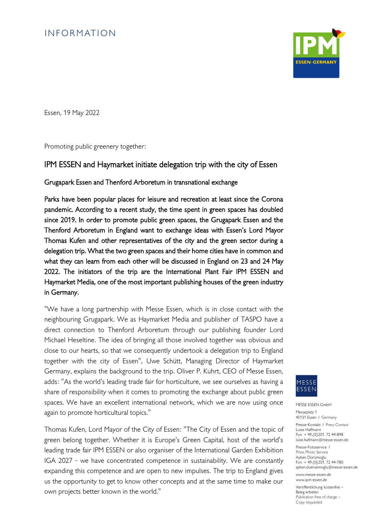# **INFORMATION**



Essen, 19 May 2022

Promoting public greenery together:

### IPM ESSEN and Haymarket initiate delegation trip with the city of Essen

Grugapark Essen and Thenford Arboretum in transnational exchange

Parks have been popular places for leisure and recreation at least since the Corona pandemic. According to a recent study, the time spent in green spaces has doubled since 2019. In order to promote public green spaces, the Grugapark Essen and the Thenford Arboretum in England want to exchange ideas with Essen's Lord Mayor Thomas Kufen and other representatives of the city and the green sector during a delegation trip. What the two green spaces and their home cities have in common and what they can learn from each other will be discussed in England on 23 and 24 May 2022. The initiators of the trip are the International Plant Fair IPM ESSEN and Haymarket Media, one of the most important publishing houses of the green industry in Germany.

"We have a long partnership with Messe Essen, which is in close contact with the neighbouring Grugapark. We as Haymarket Media and publisher of TASPO have a direct connection to Thenford Arboretum through our publishing founder Lord Michael Heseltine. The idea of bringing all those involved together was obvious and close to our hearts, so that we consequently undertook a delegation trip to England together with the city of Essen", Uwe Schütt, Managing Director of Haymarket Germany, explains the background to the trip. Oliver P. Kuhrt, CEO of Messe Essen, adds: "As the world's leading trade fair for horticulture, we see ourselves as having a share of responsibility when it comes to promoting the exchange about public green spaces. We have an excellent international network, which we are now using once again to promote horticultural topics."

Thomas Kufen, Lord Mayor of the City of Essen: "The City of Essen and the topic of green belong together. Whether it is Europe's Green Capital, host of the world's leading trade fair IPM ESSEN or also organiser of the International Garden Exhibition IGA 2027 - we have concentrated competence in sustainability. We are constantly expanding this competence and are open to new impulses. The trip to England gives us the opportunity to get to know other concepts and at the same time to make our own projects better known in the world."



MESSE ESSEN GmbH

Messeplatz 1 45131 Essen I Germany Presse-Kontakt I Press Contact Luise Halfmann Fon + 49.(0)201. 72 44-898 luise.halfmann@messe-essen.de

Presse-Fotoservice I Press Photo Service Ayben Dürümoglu  $F_{\text{on}}$  + 49.(0) 201. 72 44-780 ayben.dueruemoglu@messe-essen.de

www.messe-essen.de www.ipm-essen.de

Veröffentlichung kostenfrei – Beleg erbeten Publication free of charge – Copy requested